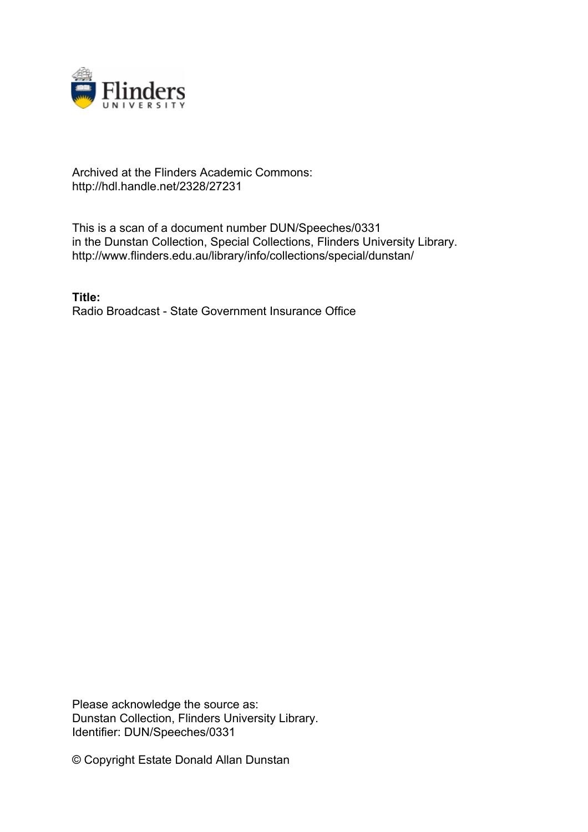

## Archived at the Flinders Academic Commons: http://hdl.handle.net/2328/27231

This is a scan of a document number DUN/Speeches/0331 in the Dunstan Collection, Special Collections, Flinders University Library. http://www.flinders.edu.au/library/info/collections/special/dunstan/

**Title:** Radio Broadcast - State Government Insurance Office

Please acknowledge the source as: Dunstan Collection, Flinders University Library. Identifier: DUN/Speeches/0331

© Copyright Estate Donald Allan Dunstan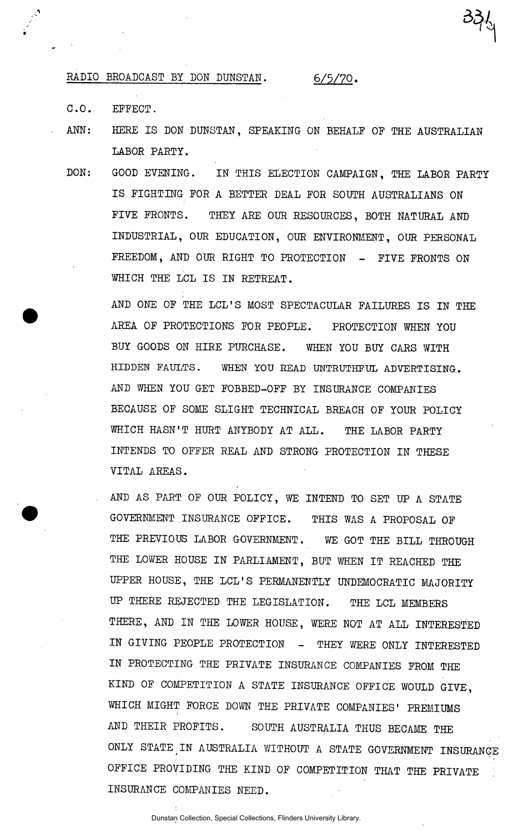**RADIO BROADCAST BY DON DUNSTAN. 6/5/70.** 

**C.O. EFFECT.** 

- **ANN: HERE IS DON DUNSTAN, SPEAKING ON BEHALF OF THE AUSTRALIAN LABOR PARTY.**
- **DON: GOOD EVENING. IN THIS ELECTION CAMPAIGN, THE LABOR PARTY IS FIGHTING FOR A BETTER DEAL FOR SOUTH AUSTRALIANS ON FIVE FRONTS. THEY ARE OUR RESOURCES, BOTH NATURAL AND INDUSTRIAL, OUR EDUCATION, OUR ENVIRONMENT, OUR PERSONAL FREEDOM, AND OUR RIGHT TO PROTECTION - FIVE FRONTS ON WHICH THE LCL IS IN RETREAT.**

**AND ONE OF THE LCL'S MOST SPECTACULAR FAILURES IS IN THE AREA OF PROTECTIONS FOR PEOPLE. PROTECTION WHEN YOU BUY GOODS ON HIRE PURCHASE. WHEN YOU BUY CARS WITH HIDDEN FAULTS. WHEN YOU READ UNTRUTHFUL ADVERTISING,. AND WHEN YOU GET FOBBED-OFF BY INSURANCE COMPANIES BECAUSE OF SOME SLIGHT TECHNICAL BREACH OF YOUR POLICY WHICH HASN'T HURT ANYBODY AT ALL. THE LABOR PARTY INTENDS TO OFFER REAL AND STRONG PROTECTION IN THESE VITAL AREAS.** 

**. AND AS PART OF OUR POLICY, WE INTEND TO SET UP A STATE GOVERNMENT INSURANCE OFFICE. THIS WAS A PROPOSAL OF THE PREVIOUS LABOR GOVERNMENT. WE GOT THE BILL THROUGH THE LOWER HOUSE IN PARLIAMENT, BUT WHEN IT REACHED THE UPPER HOUSE, THE LCL'S PERMANENTLY UNDEMOCRATIC MAJORITY UP THERE REJECTED THE LEGISLATION. THE LCL MEMBERS THERE, AND IN THE LOWER HOUSE, WERE NOT AT ALL INTERESTED IN GIVING PEOPLE PROTECTION - THEY WERE ONLY INTERESTED IN PROTECTING THE PRIVATE INSURANCE COMPANIES FROM THE KIND OF COMPETITION A STATE INSURANCE OFFICE WOULD GIVE, WHICH MIGHT FORCE DOWN THE PRIVATE COMPANIES' PREMIUMS AND THEIR PROFITS. SOUTH AUSTRALIA THUS BECAME THE ONLY STATE.IN AUSTRALIA WITHOUT A STATE GOVERNMENT INSURANCE OFFICE PROVIDING THE KIND OF COMPETITION THAT THE PRIVATE INSURANCE COMPANIES NEED.**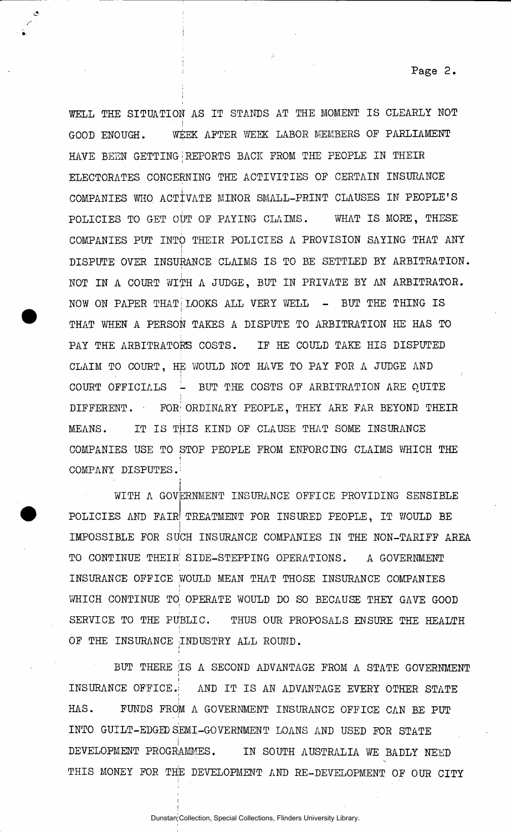**Page 2.** 

**WELL THE SITUATION AS IT STANDS AT THE MOMENT IS CLEARLY NOT ' i GOOD ENOUGH. WEEK AFTER WEEK LABOR MEMBERS OF PARLIAMENT HAVE BEEN GETTINGjREPORTS BACK FROM THE PEOPLE IN THEIR ELECTORATES CONCERNING THE ACTIVITIES OF CERTAIN INSURANCE**  COMPANIES WHO ACTIVATE MINOR SMALL-PRINT CLAUSES IN PEOPLE'S **COMPANIES WHO ACTIVATE MINOR SMALL-PRINT CLAUSES IN PEOPLE'S POLICIES TO GET OUT OF PAYING CLAIMS. WHAT IS MORE, THESE**  COMPANIES PUT INTO THEIR POLICIES A PROVISION SAYING THAT ANY **COMPANIES PUT INTO THEIR POLICIES A PROVISION SAYING THAT ANY**  DISPUTE OVER INSURANCE CLAIMS IS TO BE SETTLED BY ARBITRATION. NOT IN A COURT WITH A JUDGE, BUT IN PRIVATE BY AN ARBITRATOR. NOW ON PAPER THAT LOOKS ALL VERY WELL - BUT THE THING IS THAT WHEN A PERSON TAKES A DISPUTE TO ARBITRATION HE HAS TO PAY THE ARBITRATORS COSTS. IF HE COULD TAKE HIS DISPUTED CLAIM TO COURT, HE WOULD NOT HAVE TO PAY FOR A JUDGE AND COURT OFFICIALS - BUT THE COSTS OF ARBITRATION ARE QUITE DIFFERENT. FOR ORDINARY PEOPLE, THEY ARE FAR BEYOND THEIR ] MEANS. IT IS THIS KIND OF CLAUSE THAT SOME INSURANCE COMPANIES USE TO STOP PEOPLE FROM ENFORCING CLAIMS WHICH THE **COMPANIES USE TO STOP PEOPLE FROM ENFORCING CLAIMS WHICH THE** 

WITH A GOVERNMENT INSURANCE OFFICE PROVIDING SENSIBLE POLICIES AND FAIR TREATMENT FOR INSURED PEOPLE, IT WOULD BE IMPOSSIBLE FOR SUCH INSURANCE COMPANIES IN THE NON-TARIFF AREA TO CONTINUE THEIR SIDE-STEPPING OPERATIONS. A GOVERNMENT INSURANCE OFFICE WOULD MEAN THAT THOSE INSURANCE COMPANIES WHICH CONTINUE TO OPERATE WOULD DO SO BECAUSE THEY GAVE GOOD SERVICE TO THE PUBLIC. THUS OUR PROPOSALS ENSURE THE HEALTH OF THE INSURANCE INDUSTRY ALL ROUND.

BUT THERE IS A SECOND ADVANTAGE FROM A STATE GOVERNMENT **BUT THERE IS A SECOND ADVANTAGE FROM A STATE GOVERNMENT**  INSURANCE OFFICE. AND IT IS AN ADVANTAGE EVERY OTHER STATE **INSURANCE OFFICE.; AND IT IS AN ADVANTAGE EVERY OTHER STATE** • **HAS. FUNDS FROM A GOVERNMENT INSURANCE OFFICE CAN BE PUT**  INTO GUILT-EDGED SEMI-GOVERNMENT LOANS AND USED FOR STATE **INTO GUILT-EDGED SEMI-GOVERNMENT LOANS AND USED FOR STATE DEVELOPMENT PROGRAMMES. IN SOUTH AUSTRALIA WE BADLY NEED THIS MONEY FOR THE DEVELOPMENT AND RE-DEVELOPMENT OF OUR CITY**